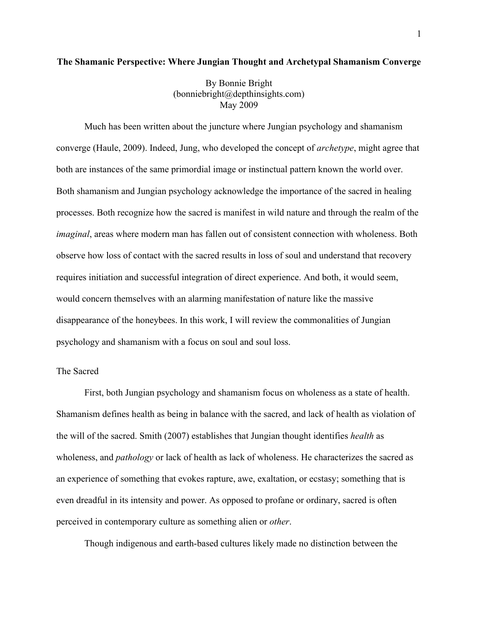# **The Shamanic Perspective: Where Jungian Thought and Archetypal Shamanism Converge**

By Bonnie Bright (bonniebright@depthinsights.com) May 2009

Much has been written about the juncture where Jungian psychology and shamanism converge (Haule, 2009). Indeed, Jung, who developed the concept of *archetype*, might agree that both are instances of the same primordial image or instinctual pattern known the world over. Both shamanism and Jungian psychology acknowledge the importance of the sacred in healing processes. Both recognize how the sacred is manifest in wild nature and through the realm of the *imaginal*, areas where modern man has fallen out of consistent connection with wholeness. Both observe how loss of contact with the sacred results in loss of soul and understand that recovery requires initiation and successful integration of direct experience. And both, it would seem, would concern themselves with an alarming manifestation of nature like the massive disappearance of the honeybees. In this work, I will review the commonalities of Jungian psychology and shamanism with a focus on soul and soul loss.

## The Sacred

First, both Jungian psychology and shamanism focus on wholeness as a state of health. Shamanism defines health as being in balance with the sacred, and lack of health as violation of the will of the sacred. Smith (2007) establishes that Jungian thought identifies *health* as wholeness, and *pathology* or lack of health as lack of wholeness. He characterizes the sacred as an experience of something that evokes rapture, awe, exaltation, or ecstasy; something that is even dreadful in its intensity and power. As opposed to profane or ordinary, sacred is often perceived in contemporary culture as something alien or *other*.

Though indigenous and earth-based cultures likely made no distinction between the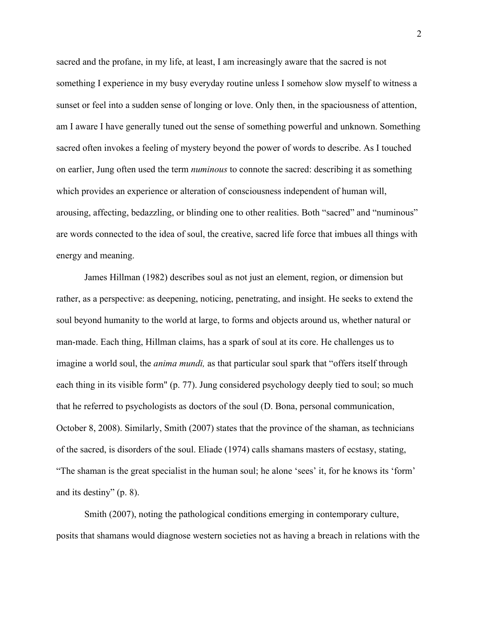sacred and the profane, in my life, at least, I am increasingly aware that the sacred is not something I experience in my busy everyday routine unless I somehow slow myself to witness a sunset or feel into a sudden sense of longing or love. Only then, in the spaciousness of attention, am I aware I have generally tuned out the sense of something powerful and unknown. Something sacred often invokes a feeling of mystery beyond the power of words to describe. As I touched on earlier, Jung often used the term *numinous* to connote the sacred: describing it as something which provides an experience or alteration of consciousness independent of human will, arousing, affecting, bedazzling, or blinding one to other realities. Both "sacred" and "numinous" are words connected to the idea of soul, the creative, sacred life force that imbues all things with energy and meaning.

James Hillman (1982) describes soul as not just an element, region, or dimension but rather, as a perspective: as deepening, noticing, penetrating, and insight. He seeks to extend the soul beyond humanity to the world at large, to forms and objects around us, whether natural or man-made. Each thing, Hillman claims, has a spark of soul at its core. He challenges us to imagine a world soul, the *anima mundi,* as that particular soul spark that "offers itself through each thing in its visible form" (p. 77). Jung considered psychology deeply tied to soul; so much that he referred to psychologists as doctors of the soul (D. Bona, personal communication, October 8, 2008). Similarly, Smith (2007) states that the province of the shaman, as technicians of the sacred, is disorders of the soul. Eliade (1974) calls shamans masters of ecstasy, stating, "The shaman is the great specialist in the human soul; he alone 'sees' it, for he knows its 'form' and its destiny" (p. 8).

Smith (2007), noting the pathological conditions emerging in contemporary culture, posits that shamans would diagnose western societies not as having a breach in relations with the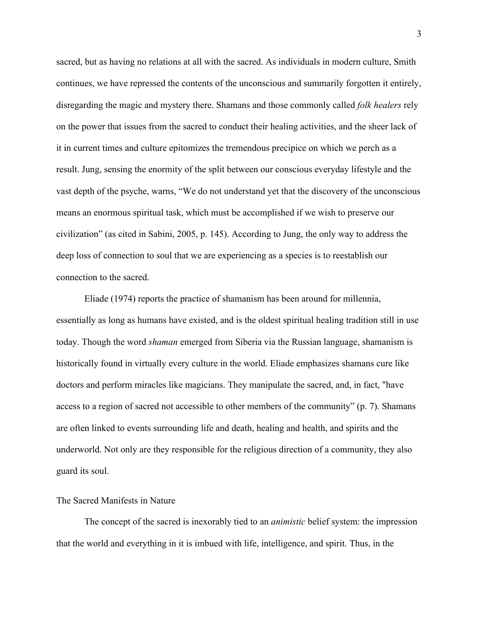sacred, but as having no relations at all with the sacred. As individuals in modern culture, Smith continues, we have repressed the contents of the unconscious and summarily forgotten it entirely, disregarding the magic and mystery there. Shamans and those commonly called *folk healers* rely on the power that issues from the sacred to conduct their healing activities, and the sheer lack of it in current times and culture epitomizes the tremendous precipice on which we perch as a result. Jung, sensing the enormity of the split between our conscious everyday lifestyle and the vast depth of the psyche, warns, "We do not understand yet that the discovery of the unconscious means an enormous spiritual task, which must be accomplished if we wish to preserve our civilization" (as cited in Sabini, 2005, p. 145). According to Jung, the only way to address the deep loss of connection to soul that we are experiencing as a species is to reestablish our connection to the sacred.

Eliade (1974) reports the practice of shamanism has been around for millennia, essentially as long as humans have existed, and is the oldest spiritual healing tradition still in use today. Though the word *shaman* emerged from Siberia via the Russian language, shamanism is historically found in virtually every culture in the world. Eliade emphasizes shamans cure like doctors and perform miracles like magicians. They manipulate the sacred, and, in fact, "have access to a region of sacred not accessible to other members of the community" (p. 7). Shamans are often linked to events surrounding life and death, healing and health, and spirits and the underworld. Not only are they responsible for the religious direction of a community, they also guard its soul.

# The Sacred Manifests in Nature

The concept of the sacred is inexorably tied to an *animistic* belief system: the impression that the world and everything in it is imbued with life, intelligence, and spirit. Thus, in the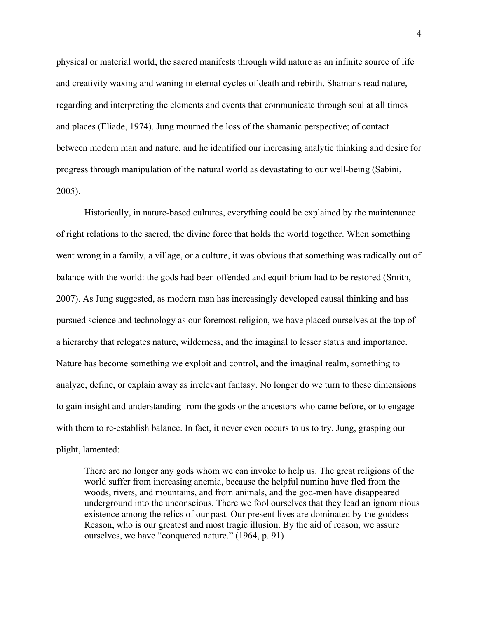physical or material world, the sacred manifests through wild nature as an infinite source of life and creativity waxing and waning in eternal cycles of death and rebirth. Shamans read nature, regarding and interpreting the elements and events that communicate through soul at all times and places (Eliade, 1974). Jung mourned the loss of the shamanic perspective; of contact between modern man and nature, and he identified our increasing analytic thinking and desire for progress through manipulation of the natural world as devastating to our well-being (Sabini, 2005).

Historically, in nature-based cultures, everything could be explained by the maintenance of right relations to the sacred, the divine force that holds the world together. When something went wrong in a family, a village, or a culture, it was obvious that something was radically out of balance with the world: the gods had been offended and equilibrium had to be restored (Smith, 2007). As Jung suggested, as modern man has increasingly developed causal thinking and has pursued science and technology as our foremost religion, we have placed ourselves at the top of a hierarchy that relegates nature, wilderness, and the imaginal to lesser status and importance. Nature has become something we exploit and control, and the imaginal realm, something to analyze, define, or explain away as irrelevant fantasy. No longer do we turn to these dimensions to gain insight and understanding from the gods or the ancestors who came before, or to engage with them to re-establish balance. In fact, it never even occurs to us to try. Jung, grasping our plight, lamented:

There are no longer any gods whom we can invoke to help us. The great religions of the world suffer from increasing anemia, because the helpful numina have fled from the woods, rivers, and mountains, and from animals, and the god-men have disappeared underground into the unconscious. There we fool ourselves that they lead an ignominious existence among the relics of our past. Our present lives are dominated by the goddess Reason, who is our greatest and most tragic illusion. By the aid of reason, we assure ourselves, we have "conquered nature." (1964, p. 91)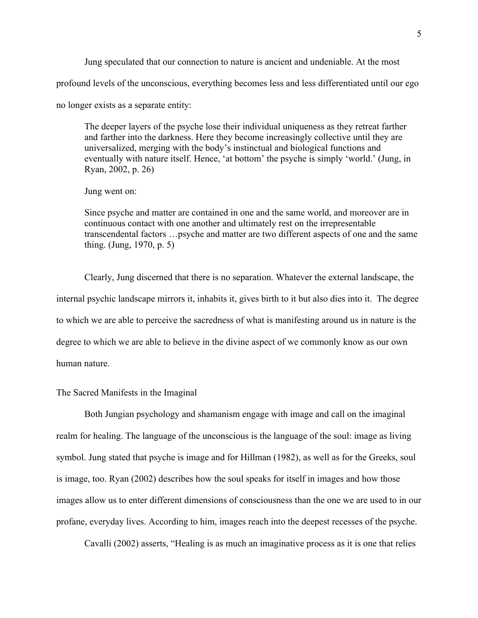Jung speculated that our connection to nature is ancient and undeniable. At the most profound levels of the unconscious, everything becomes less and less differentiated until our ego no longer exists as a separate entity:

The deeper layers of the psyche lose their individual uniqueness as they retreat farther and farther into the darkness. Here they become increasingly collective until they are universalized, merging with the body's instinctual and biological functions and eventually with nature itself. Hence, 'at bottom' the psyche is simply 'world.' (Jung, in Ryan, 2002, p. 26)

Jung went on:

Since psyche and matter are contained in one and the same world, and moreover are in continuous contact with one another and ultimately rest on the irrepresentable transcendental factors …psyche and matter are two different aspects of one and the same thing. (Jung, 1970, p. 5)

Clearly, Jung discerned that there is no separation. Whatever the external landscape, the internal psychic landscape mirrors it, inhabits it, gives birth to it but also dies into it. The degree to which we are able to perceive the sacredness of what is manifesting around us in nature is the degree to which we are able to believe in the divine aspect of we commonly know as our own human nature.

# The Sacred Manifests in the Imaginal

Both Jungian psychology and shamanism engage with image and call on the imaginal realm for healing. The language of the unconscious is the language of the soul: image as living symbol. Jung stated that psyche is image and for Hillman (1982), as well as for the Greeks, soul is image, too. Ryan (2002) describes how the soul speaks for itself in images and how those images allow us to enter different dimensions of consciousness than the one we are used to in our profane, everyday lives. According to him, images reach into the deepest recesses of the psyche.

Cavalli (2002) asserts, "Healing is as much an imaginative process as it is one that relies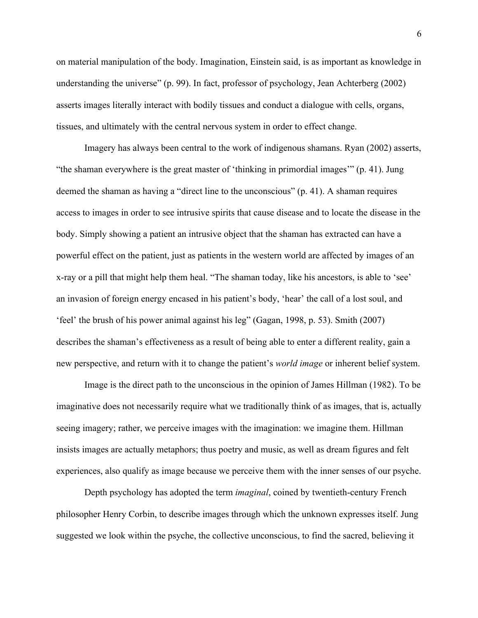on material manipulation of the body. Imagination, Einstein said, is as important as knowledge in understanding the universe" (p. 99). In fact, professor of psychology, Jean Achterberg (2002) asserts images literally interact with bodily tissues and conduct a dialogue with cells, organs, tissues, and ultimately with the central nervous system in order to effect change.

Imagery has always been central to the work of indigenous shamans. Ryan (2002) asserts, "the shaman everywhere is the great master of 'thinking in primordial images'" (p. 41). Jung deemed the shaman as having a "direct line to the unconscious" (p. 41). A shaman requires access to images in order to see intrusive spirits that cause disease and to locate the disease in the body. Simply showing a patient an intrusive object that the shaman has extracted can have a powerful effect on the patient, just as patients in the western world are affected by images of an x-ray or a pill that might help them heal. "The shaman today, like his ancestors, is able to 'see' an invasion of foreign energy encased in his patient's body, 'hear' the call of a lost soul, and 'feel' the brush of his power animal against his leg" (Gagan, 1998, p. 53). Smith (2007) describes the shaman's effectiveness as a result of being able to enter a different reality, gain a new perspective, and return with it to change the patient's *world image* or inherent belief system.

Image is the direct path to the unconscious in the opinion of James Hillman (1982). To be imaginative does not necessarily require what we traditionally think of as images, that is, actually seeing imagery; rather, we perceive images with the imagination: we imagine them. Hillman insists images are actually metaphors; thus poetry and music, as well as dream figures and felt experiences, also qualify as image because we perceive them with the inner senses of our psyche.

Depth psychology has adopted the term *imaginal*, coined by twentieth-century French philosopher Henry Corbin, to describe images through which the unknown expresses itself. Jung suggested we look within the psyche, the collective unconscious, to find the sacred, believing it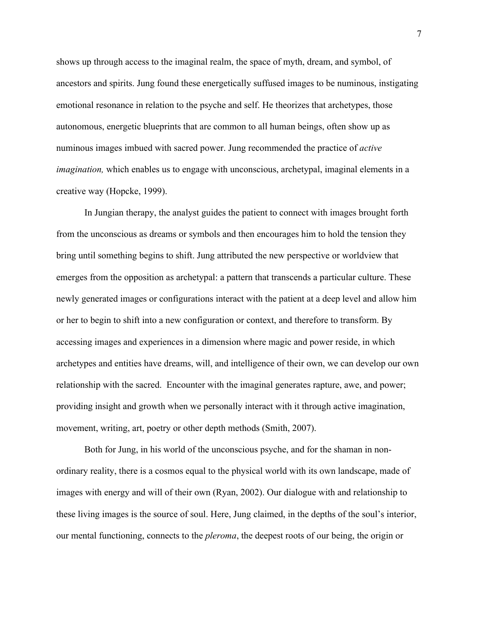shows up through access to the imaginal realm, the space of myth, dream, and symbol, of ancestors and spirits. Jung found these energetically suffused images to be numinous, instigating emotional resonance in relation to the psyche and self. He theorizes that archetypes, those autonomous, energetic blueprints that are common to all human beings, often show up as numinous images imbued with sacred power. Jung recommended the practice of *active imagination*, which enables us to engage with unconscious, archetypal, imaginal elements in a creative way (Hopcke, 1999).

In Jungian therapy, the analyst guides the patient to connect with images brought forth from the unconscious as dreams or symbols and then encourages him to hold the tension they bring until something begins to shift. Jung attributed the new perspective or worldview that emerges from the opposition as archetypal: a pattern that transcends a particular culture. These newly generated images or configurations interact with the patient at a deep level and allow him or her to begin to shift into a new configuration or context, and therefore to transform. By accessing images and experiences in a dimension where magic and power reside, in which archetypes and entities have dreams, will, and intelligence of their own, we can develop our own relationship with the sacred. Encounter with the imaginal generates rapture, awe, and power; providing insight and growth when we personally interact with it through active imagination, movement, writing, art, poetry or other depth methods (Smith, 2007).

Both for Jung, in his world of the unconscious psyche, and for the shaman in nonordinary reality, there is a cosmos equal to the physical world with its own landscape, made of images with energy and will of their own (Ryan, 2002). Our dialogue with and relationship to these living images is the source of soul. Here, Jung claimed, in the depths of the soul's interior, our mental functioning, connects to the *pleroma*, the deepest roots of our being, the origin or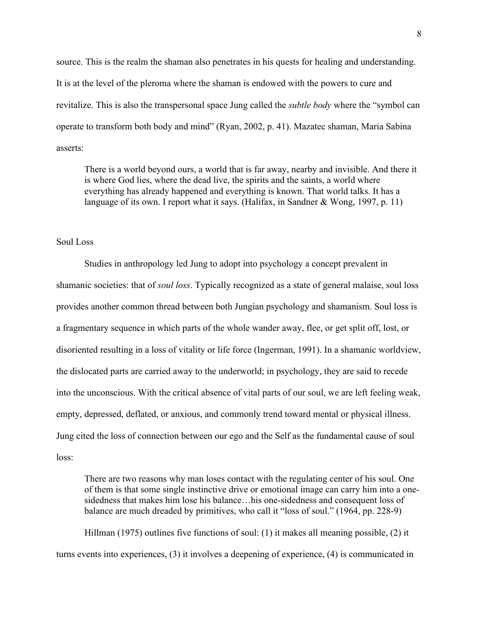source. This is the realm the shaman also penetrates in his quests for healing and understanding. It is at the level of the pleroma where the shaman is endowed with the powers to cure and revitalize. This is also the transpersonal space Jung called the *subtle body* where the "symbol can operate to transform both body and mind" (Ryan, 2002, p. 41). Mazatec shaman, Maria Sabina asserts:

There is a world beyond ours, a world that is far away, nearby and invisible. And there it is where God lies, where the dead live, the spirits and the saints, a world where everything has already happened and everything is known. That world talks. It has a language of its own. I report what it says. (Halifax, in Sandner & Wong, 1997, p. 11)

## Soul Loss

Studies in anthropology led Jung to adopt into psychology a concept prevalent in shamanic societies: that of *soul loss*. Typically recognized as a state of general malaise, soul loss provides another common thread between both Jungian psychology and shamanism. Soul loss is a fragmentary sequence in which parts of the whole wander away, flee, or get split off, lost, or disoriented resulting in a loss of vitality or life force (Ingerman, 1991). In a shamanic worldview, the dislocated parts are carried away to the underworld; in psychology, they are said to recede into the unconscious. With the critical absence of vital parts of our soul, we are left feeling weak, empty, depressed, deflated, or anxious, and commonly trend toward mental or physical illness. Jung cited the loss of connection between our ego and the Self as the fundamental cause of soul loss:

There are two reasons why man loses contact with the regulating center of his soul. One of them is that some single instinctive drive or emotional image can carry him into a onesidedness that makes him lose his balance…his one-sidedness and consequent loss of balance are much dreaded by primitives, who call it "loss of soul." (1964, pp. 228-9)

Hillman (1975) outlines five functions of soul: (1) it makes all meaning possible, (2) it turns events into experiences, (3) it involves a deepening of experience, (4) is communicated in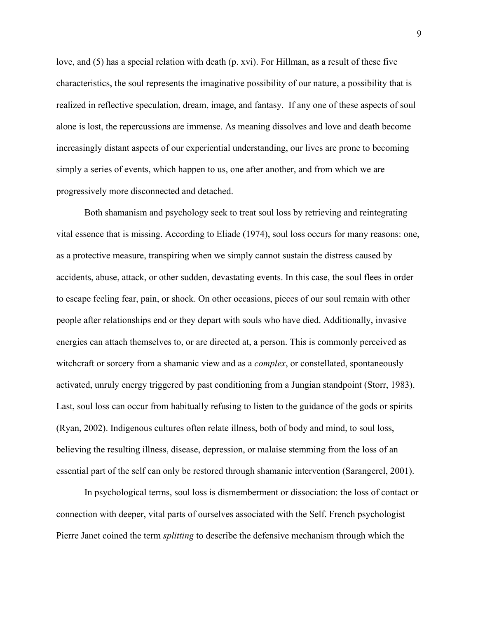love, and (5) has a special relation with death (p. xvi). For Hillman, as a result of these five characteristics, the soul represents the imaginative possibility of our nature, a possibility that is realized in reflective speculation, dream, image, and fantasy. If any one of these aspects of soul alone is lost, the repercussions are immense. As meaning dissolves and love and death become increasingly distant aspects of our experiential understanding, our lives are prone to becoming simply a series of events, which happen to us, one after another, and from which we are progressively more disconnected and detached.

Both shamanism and psychology seek to treat soul loss by retrieving and reintegrating vital essence that is missing. According to Eliade (1974), soul loss occurs for many reasons: one, as a protective measure, transpiring when we simply cannot sustain the distress caused by accidents, abuse, attack, or other sudden, devastating events. In this case, the soul flees in order to escape feeling fear, pain, or shock. On other occasions, pieces of our soul remain with other people after relationships end or they depart with souls who have died. Additionally, invasive energies can attach themselves to, or are directed at, a person. This is commonly perceived as witchcraft or sorcery from a shamanic view and as a *complex*, or constellated, spontaneously activated, unruly energy triggered by past conditioning from a Jungian standpoint (Storr, 1983). Last, soul loss can occur from habitually refusing to listen to the guidance of the gods or spirits (Ryan, 2002). Indigenous cultures often relate illness, both of body and mind, to soul loss, believing the resulting illness, disease, depression, or malaise stemming from the loss of an essential part of the self can only be restored through shamanic intervention (Sarangerel, 2001).

In psychological terms, soul loss is dismemberment or dissociation: the loss of contact or connection with deeper, vital parts of ourselves associated with the Self. French psychologist Pierre Janet coined the term *splitting* to describe the defensive mechanism through which the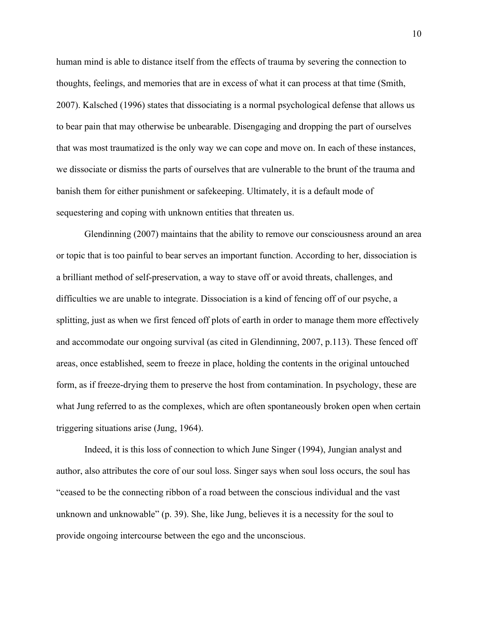human mind is able to distance itself from the effects of trauma by severing the connection to thoughts, feelings, and memories that are in excess of what it can process at that time (Smith, 2007). Kalsched (1996) states that dissociating is a normal psychological defense that allows us to bear pain that may otherwise be unbearable. Disengaging and dropping the part of ourselves that was most traumatized is the only way we can cope and move on. In each of these instances, we dissociate or dismiss the parts of ourselves that are vulnerable to the brunt of the trauma and banish them for either punishment or safekeeping. Ultimately, it is a default mode of sequestering and coping with unknown entities that threaten us.

Glendinning (2007) maintains that the ability to remove our consciousness around an area or topic that is too painful to bear serves an important function. According to her, dissociation is a brilliant method of self-preservation, a way to stave off or avoid threats, challenges, and difficulties we are unable to integrate. Dissociation is a kind of fencing off of our psyche, a splitting, just as when we first fenced off plots of earth in order to manage them more effectively and accommodate our ongoing survival (as cited in Glendinning, 2007, p.113). These fenced off areas, once established, seem to freeze in place, holding the contents in the original untouched form, as if freeze-drying them to preserve the host from contamination. In psychology, these are what Jung referred to as the complexes, which are often spontaneously broken open when certain triggering situations arise (Jung, 1964).

Indeed, it is this loss of connection to which June Singer (1994), Jungian analyst and author, also attributes the core of our soul loss. Singer says when soul loss occurs, the soul has "ceased to be the connecting ribbon of a road between the conscious individual and the vast unknown and unknowable" (p. 39). She, like Jung, believes it is a necessity for the soul to provide ongoing intercourse between the ego and the unconscious.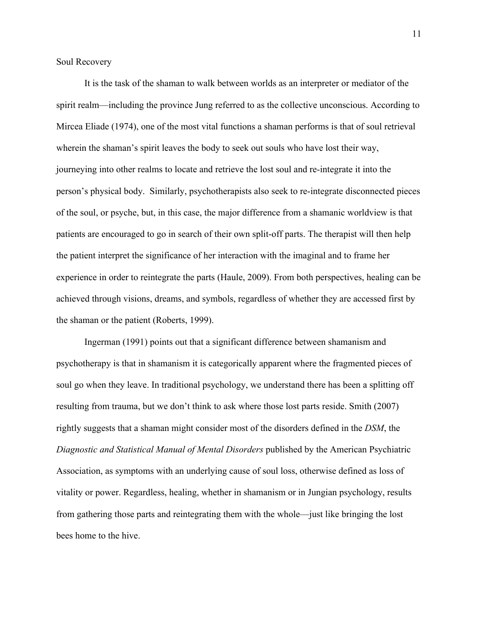Soul Recovery

It is the task of the shaman to walk between worlds as an interpreter or mediator of the spirit realm—including the province Jung referred to as the collective unconscious. According to Mircea Eliade (1974), one of the most vital functions a shaman performs is that of soul retrieval wherein the shaman's spirit leaves the body to seek out souls who have lost their way, journeying into other realms to locate and retrieve the lost soul and re-integrate it into the person's physical body. Similarly, psychotherapists also seek to re-integrate disconnected pieces of the soul, or psyche, but, in this case, the major difference from a shamanic worldview is that patients are encouraged to go in search of their own split-off parts. The therapist will then help the patient interpret the significance of her interaction with the imaginal and to frame her experience in order to reintegrate the parts (Haule, 2009). From both perspectives, healing can be achieved through visions, dreams, and symbols, regardless of whether they are accessed first by the shaman or the patient (Roberts, 1999).

Ingerman (1991) points out that a significant difference between shamanism and psychotherapy is that in shamanism it is categorically apparent where the fragmented pieces of soul go when they leave. In traditional psychology, we understand there has been a splitting off resulting from trauma, but we don't think to ask where those lost parts reside. Smith (2007) rightly suggests that a shaman might consider most of the disorders defined in the *DSM*, the *Diagnostic and Statistical Manual of Mental Disorders* published by the American Psychiatric Association, as symptoms with an underlying cause of soul loss, otherwise defined as loss of vitality or power. Regardless, healing, whether in shamanism or in Jungian psychology, results from gathering those parts and reintegrating them with the whole—just like bringing the lost bees home to the hive.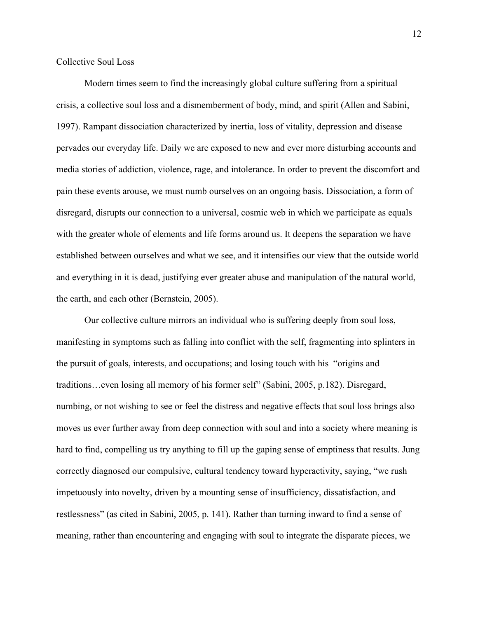Collective Soul Loss

Modern times seem to find the increasingly global culture suffering from a spiritual crisis, a collective soul loss and a dismemberment of body, mind, and spirit (Allen and Sabini, 1997). Rampant dissociation characterized by inertia, loss of vitality, depression and disease pervades our everyday life. Daily we are exposed to new and ever more disturbing accounts and media stories of addiction, violence, rage, and intolerance. In order to prevent the discomfort and pain these events arouse, we must numb ourselves on an ongoing basis. Dissociation, a form of disregard, disrupts our connection to a universal, cosmic web in which we participate as equals with the greater whole of elements and life forms around us. It deepens the separation we have established between ourselves and what we see, and it intensifies our view that the outside world and everything in it is dead, justifying ever greater abuse and manipulation of the natural world, the earth, and each other (Bernstein, 2005).

Our collective culture mirrors an individual who is suffering deeply from soul loss, manifesting in symptoms such as falling into conflict with the self, fragmenting into splinters in the pursuit of goals, interests, and occupations; and losing touch with his "origins and traditions…even losing all memory of his former self" (Sabini, 2005, p.182). Disregard, numbing, or not wishing to see or feel the distress and negative effects that soul loss brings also moves us ever further away from deep connection with soul and into a society where meaning is hard to find, compelling us try anything to fill up the gaping sense of emptiness that results. Jung correctly diagnosed our compulsive, cultural tendency toward hyperactivity, saying, "we rush impetuously into novelty, driven by a mounting sense of insufficiency, dissatisfaction, and restlessness" (as cited in Sabini, 2005, p. 141). Rather than turning inward to find a sense of meaning, rather than encountering and engaging with soul to integrate the disparate pieces, we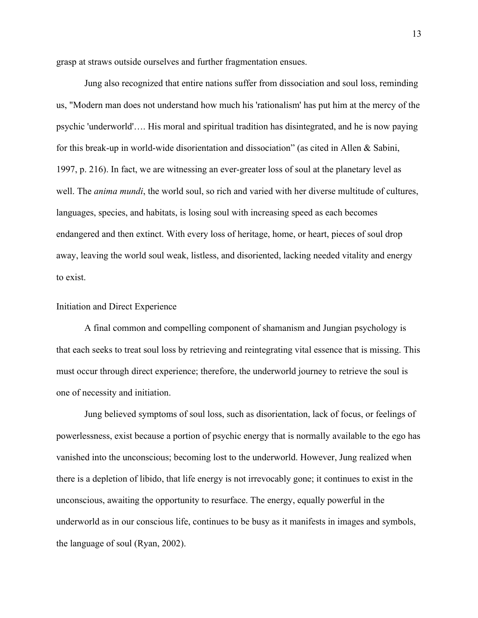grasp at straws outside ourselves and further fragmentation ensues.

Jung also recognized that entire nations suffer from dissociation and soul loss, reminding us, "Modern man does not understand how much his 'rationalism' has put him at the mercy of the psychic 'underworld'…. His moral and spiritual tradition has disintegrated, and he is now paying for this break-up in world-wide disorientation and dissociation" (as cited in Allen & Sabini, 1997, p. 216). In fact, we are witnessing an ever-greater loss of soul at the planetary level as well. The *anima mundi*, the world soul, so rich and varied with her diverse multitude of cultures, languages, species, and habitats, is losing soul with increasing speed as each becomes endangered and then extinct. With every loss of heritage, home, or heart, pieces of soul drop away, leaving the world soul weak, listless, and disoriented, lacking needed vitality and energy to exist.

# Initiation and Direct Experience

A final common and compelling component of shamanism and Jungian psychology is that each seeks to treat soul loss by retrieving and reintegrating vital essence that is missing. This must occur through direct experience; therefore, the underworld journey to retrieve the soul is one of necessity and initiation.

Jung believed symptoms of soul loss, such as disorientation, lack of focus, or feelings of powerlessness, exist because a portion of psychic energy that is normally available to the ego has vanished into the unconscious; becoming lost to the underworld. However, Jung realized when there is a depletion of libido, that life energy is not irrevocably gone; it continues to exist in the unconscious, awaiting the opportunity to resurface. The energy, equally powerful in the underworld as in our conscious life, continues to be busy as it manifests in images and symbols, the language of soul (Ryan, 2002).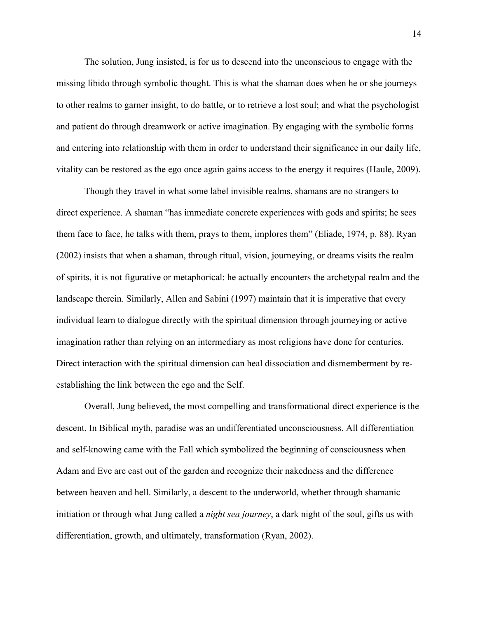The solution, Jung insisted, is for us to descend into the unconscious to engage with the missing libido through symbolic thought. This is what the shaman does when he or she journeys to other realms to garner insight, to do battle, or to retrieve a lost soul; and what the psychologist and patient do through dreamwork or active imagination. By engaging with the symbolic forms and entering into relationship with them in order to understand their significance in our daily life, vitality can be restored as the ego once again gains access to the energy it requires (Haule, 2009).

Though they travel in what some label invisible realms, shamans are no strangers to direct experience. A shaman "has immediate concrete experiences with gods and spirits; he sees them face to face, he talks with them, prays to them, implores them" (Eliade, 1974, p. 88). Ryan (2002) insists that when a shaman, through ritual, vision, journeying, or dreams visits the realm of spirits, it is not figurative or metaphorical: he actually encounters the archetypal realm and the landscape therein. Similarly, Allen and Sabini (1997) maintain that it is imperative that every individual learn to dialogue directly with the spiritual dimension through journeying or active imagination rather than relying on an intermediary as most religions have done for centuries. Direct interaction with the spiritual dimension can heal dissociation and dismemberment by reestablishing the link between the ego and the Self.

Overall, Jung believed, the most compelling and transformational direct experience is the descent. In Biblical myth, paradise was an undifferentiated unconsciousness. All differentiation and self-knowing came with the Fall which symbolized the beginning of consciousness when Adam and Eve are cast out of the garden and recognize their nakedness and the difference between heaven and hell. Similarly, a descent to the underworld, whether through shamanic initiation or through what Jung called a *night sea journey*, a dark night of the soul, gifts us with differentiation, growth, and ultimately, transformation (Ryan, 2002).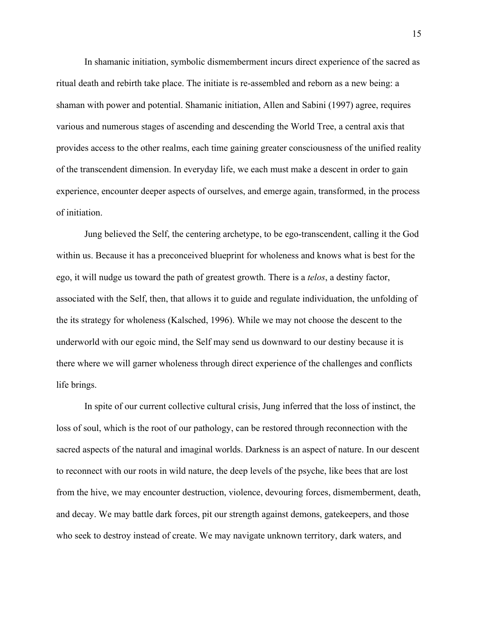In shamanic initiation, symbolic dismemberment incurs direct experience of the sacred as ritual death and rebirth take place. The initiate is re-assembled and reborn as a new being: a shaman with power and potential. Shamanic initiation, Allen and Sabini (1997) agree, requires various and numerous stages of ascending and descending the World Tree, a central axis that provides access to the other realms, each time gaining greater consciousness of the unified reality of the transcendent dimension. In everyday life, we each must make a descent in order to gain experience, encounter deeper aspects of ourselves, and emerge again, transformed, in the process of initiation.

Jung believed the Self, the centering archetype, to be ego-transcendent, calling it the God within us. Because it has a preconceived blueprint for wholeness and knows what is best for the ego, it will nudge us toward the path of greatest growth. There is a *telos*, a destiny factor, associated with the Self, then, that allows it to guide and regulate individuation, the unfolding of the its strategy for wholeness (Kalsched, 1996). While we may not choose the descent to the underworld with our egoic mind, the Self may send us downward to our destiny because it is there where we will garner wholeness through direct experience of the challenges and conflicts life brings.

In spite of our current collective cultural crisis, Jung inferred that the loss of instinct, the loss of soul, which is the root of our pathology, can be restored through reconnection with the sacred aspects of the natural and imaginal worlds. Darkness is an aspect of nature. In our descent to reconnect with our roots in wild nature, the deep levels of the psyche, like bees that are lost from the hive, we may encounter destruction, violence, devouring forces, dismemberment, death, and decay. We may battle dark forces, pit our strength against demons, gatekeepers, and those who seek to destroy instead of create. We may navigate unknown territory, dark waters, and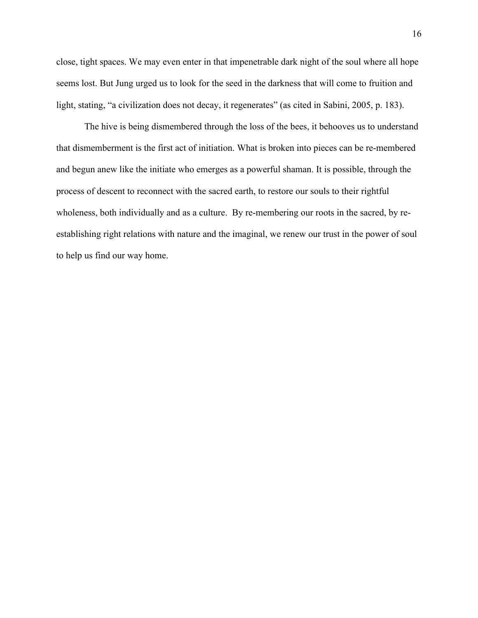close, tight spaces. We may even enter in that impenetrable dark night of the soul where all hope seems lost. But Jung urged us to look for the seed in the darkness that will come to fruition and light, stating, "a civilization does not decay, it regenerates" (as cited in Sabini, 2005, p. 183).

The hive is being dismembered through the loss of the bees, it behooves us to understand that dismemberment is the first act of initiation. What is broken into pieces can be re-membered and begun anew like the initiate who emerges as a powerful shaman. It is possible, through the process of descent to reconnect with the sacred earth, to restore our souls to their rightful wholeness, both individually and as a culture. By re-membering our roots in the sacred, by reestablishing right relations with nature and the imaginal, we renew our trust in the power of soul to help us find our way home.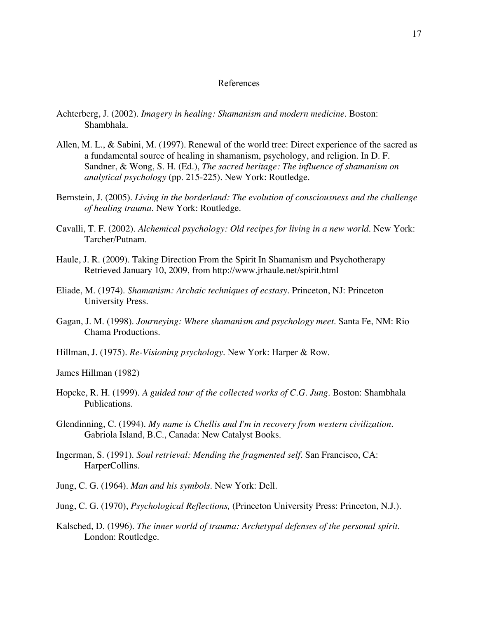#### References

- Achterberg, J. (2002). *Imagery in healing: Shamanism and modern medicine*. Boston: Shambhala.
- Allen, M. L., & Sabini, M. (1997). Renewal of the world tree: Direct experience of the sacred as a fundamental source of healing in shamanism, psychology, and religion. In D. F. Sandner, & Wong, S. H. (Ed.), *The sacred heritage: The influence of shamanism on analytical psychology* (pp. 215-225). New York: Routledge.
- Bernstein, J. (2005). *Living in the borderland: The evolution of consciousness and the challenge of healing trauma*. New York: Routledge.
- Cavalli, T. F. (2002). *Alchemical psychology: Old recipes for living in a new world*. New York: Tarcher/Putnam.
- Haule, J. R. (2009). Taking Direction From the Spirit In Shamanism and Psychotherapy Retrieved January 10, 2009, from http://www.jrhaule.net/spirit.html
- Eliade, M. (1974). *Shamanism: Archaic techniques of ecstasy*. Princeton, NJ: Princeton University Press.
- Gagan, J. M. (1998). *Journeying: Where shamanism and psychology meet*. Santa Fe, NM: Rio Chama Productions.
- Hillman, J. (1975). *Re-Visioning psychology*. New York: Harper & Row.

James Hillman (1982)

- Hopcke, R. H. (1999). *A guided tour of the collected works of C.G. Jung*. Boston: Shambhala Publications.
- Glendinning, C. (1994). *My name is Chellis and I'm in recovery from western civilization*. Gabriola Island, B.C., Canada: New Catalyst Books.
- Ingerman, S. (1991). *Soul retrieval: Mending the fragmented self*. San Francisco, CA: HarperCollins.
- Jung, C. G. (1964). *Man and his symbols*. New York: Dell.
- Jung, C. G. (1970), *Psychological Reflections,* (Princeton University Press: Princeton, N.J.).
- Kalsched, D. (1996). *The inner world of trauma: Archetypal defenses of the personal spirit*. London: Routledge.